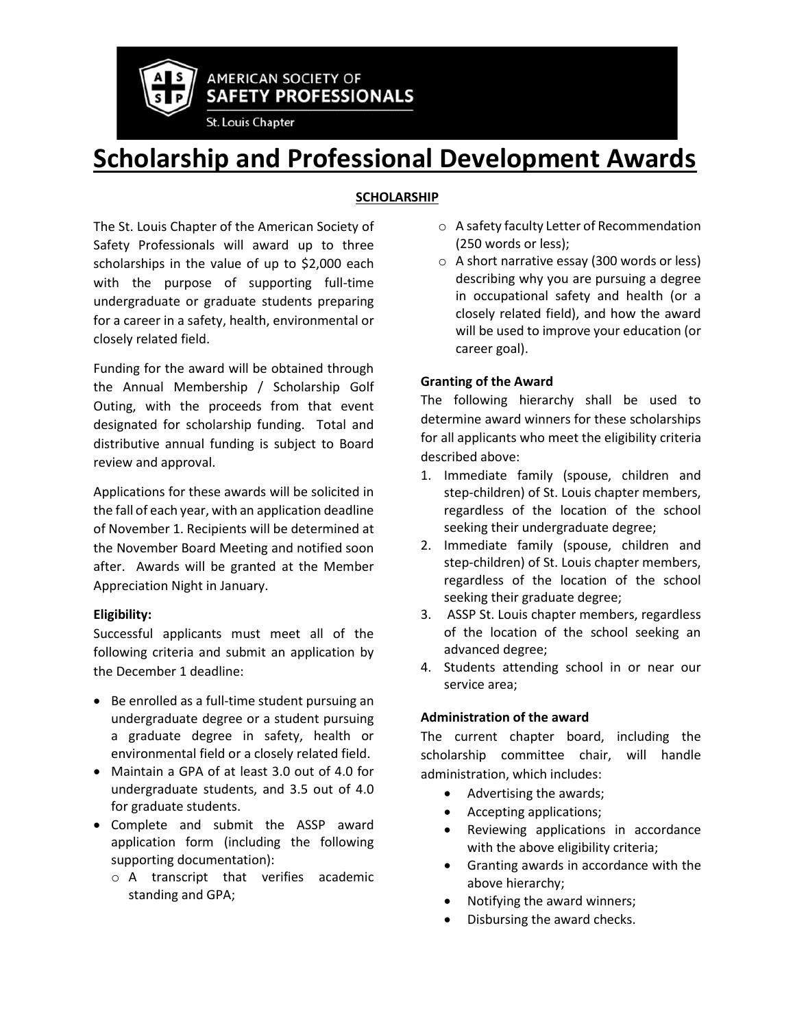

**AMERICAN SOCIETY OF SAFETY PROFESSIONALS** 

St. Louis Chapter

# **Scholarship and Professional Development Awards**

## **SCHOLARSHIP**

The St. Louis Chapter of the American Society of Safety Professionals will award up to three scholarships in the value of up to \$2,000 each with the purpose of supporting full-time undergraduate or graduate students preparing for a career in a safety, health, environmental or closely related field.

Funding for the award will be obtained through the Annual Membership / Scholarship Golf Outing, with the proceeds from that event designated for scholarship funding. Total and distributive annual funding is subject to Board review and approval.

Applications for these awards will be solicited in the fall of each year, with an application deadline of November 1. Recipients will be determined at the November Board Meeting and notified soon after. Awards will be granted at the Member Appreciation Night in January.

## **Eligibility:**

Successful applicants must meet all of the following criteria and submit an application by the December 1 deadline:

- Be enrolled as a full-time student pursuing an undergraduate degree or a student pursuing a graduate degree in safety, health or environmental field or a closely related field.
- Maintain a GPA of at least 3.0 out of 4.0 for undergraduate students, and 3.5 out of 4.0 for graduate students.
- Complete and submit the ASSP award application form (including the following supporting documentation):
	- o A transcript that verifies academic standing and GPA;
- o A safety faculty Letter of Recommendation (250 words or less);
- o A short narrative essay (300 words or less) describing why you are pursuing a degree in occupational safety and health (or a closely related field), and how the award will be used to improve your education (or career goal).

## **Granting of the Award**

The following hierarchy shall be used to determine award winners for these scholarships for all applicants who meet the eligibility criteria described above:

- 1. Immediate family (spouse, children and step-children) of St. Louis chapter members, regardless of the location of the school seeking their undergraduate degree;
- 2. Immediate family (spouse, children and step-children) of St. Louis chapter members, regardless of the location of the school seeking their graduate degree;
- 3. ASSP St. Louis chapter members, regardless of the location of the school seeking an advanced degree;
- 4. Students attending school in or near our service area;

## **Administration of the award**

The current chapter board, including the scholarship committee chair, will handle administration, which includes:

- Advertising the awards;
- Accepting applications;
- Reviewing applications in accordance with the above eligibility criteria;
- Granting awards in accordance with the above hierarchy;
- Notifying the award winners;
- Disbursing the award checks.